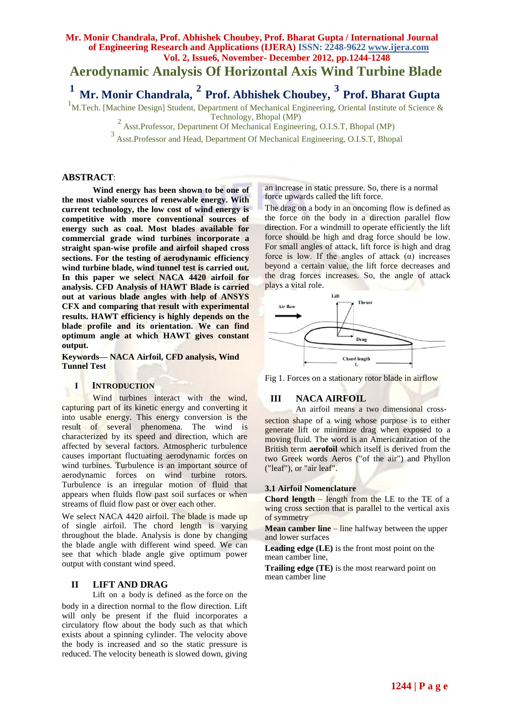# **Mr. Monir Chandrala, Prof. Abhishek Choubey, Prof. Bharat Gupta / International Journal of Engineering Research and Applications (IJERA) ISSN: 2248-9622 www.ijera.com Vol. 2, Issue6, November- December 2012, pp.1244-1248 Aerodynamic Analysis Of Horizontal Axis Wind Turbine Blade <sup>1</sup>Mr. Monir Chandrala, <sup>2</sup> Prof. Abhishek Choubey, <sup>3</sup> Prof. Bharat Gupta**

<sup>1</sup>M.Tech. [Machine Design] Student, Department of Mechanical Engineering, Oriental Institute of Science & Technology, Bhopal (MP)

 $2$  Asst.Professor, Department Of Mechanical Engineering, O.I.S.T, Bhopal (MP)

<sup>3</sup>Asst.Professor and Head, Department Of Mechanical Engineering, O.I.S.T, Bhopal

#### **ABSTRACT**:

**Wind energy has been shown to be one of the most viable sources of renewable energy. With current technology, the low cost of wind energy is competitive with more conventional sources of energy such as coal. Most blades available for commercial grade wind turbines incorporate a straight span-wise profile and airfoil shaped cross sections. For the testing of aerodynamic efficiency wind turbine blade, wind tunnel test is carried out. In this paper we select NACA 4420 airfoil for analysis. CFD Analysis of HAWT Blade is carried out at various blade angles with help of ANSYS CFX and comparing that result with experimental results. HAWT efficiency is highly depends on the blade profile and its orientation. We can find optimum angle at which HAWT gives constant output.**

**Keywords— NACA Airfoil, CFD analysis, Wind Tunnel Test**

#### **I INTRODUCTION**

Wind turbines interact with the wind, capturing part of its kinetic energy and converting it into usable energy. This energy conversion is the result of several phenomena. The wind is characterized by its speed and direction, which are affected by several factors. Atmospheric turbulence causes important fluctuating aerodynamic forces on wind turbines. Turbulence is an important source of aerodynamic forces on wind turbine rotors. Turbulence is an irregular motion of fluid that appears when fluids flow past soil surfaces or when streams of fluid flow past or over each other.

We select NACA 4420 airfoil. The blade is made up of single airfoil. The chord length is varying throughout the blade. Analysis is done by changing the blade angle with different wind speed. We can see that which blade angle give optimum power output with constant wind speed.

#### **II LIFT AND DRAG**

Lift on a body is defined as the force on the body in a direction normal to the flow direction. Lift will only be present if the fluid incorporates a circulatory flow about the body such as that which exists about a spinning cylinder. The velocity above the body is increased and so the static pressure is reduced. The velocity beneath is slowed down, giving

an increase in static pressure. So, there is a normal force upwards called the lift force.

The drag on a body in an oncoming flow is defined as the force on the body in a direction parallel flow direction. For a windmill to operate efficiently the lift force should be high and drag force should be low. For small angles of attack, lift force is high and drag force is low. If the angles of attack  $(\alpha)$  increases beyond a certain value, the lift force decreases and the drag forces increases. So, the angle of attack plays a vital role.



Fig 1. Forces on a stationary rotor blade in airflow

# **III NACA AIRFOIL**

An airfoil means a two dimensional crosssection shape of a wing whose purpose is to either generate lift or minimize drag when exposed to a moving fluid. The word is an Americanization of the British term **aerofoil** which itself is derived from the two Greek words Aeros ("of the air") and Phyllon ("leaf"), or "air leaf".

#### **3.1 Airfoil Nomenclature**

**Chord length** – length from the LE to the TE of a wing cross section that is parallel to the vertical axis of symmetry

**Mean camber line – line halfway between the upper** and lower surfaces

**Leading edge (LE)** is the front most point on the mean camber line,

**Trailing edge (TE)** is the most rearward point on mean camber line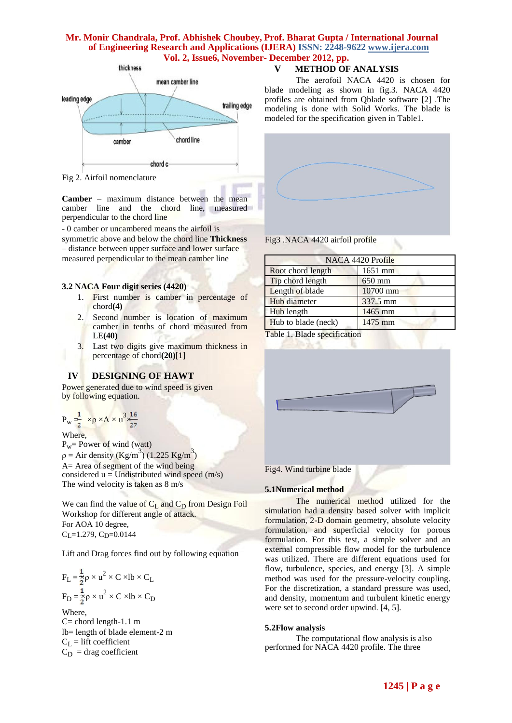

Fig 2. Airfoil nomenclature

**Camber** – maximum distance between the mean camber line and the chord line, measured perpendicular to the chord line

- 0 camber or uncambered means the airfoil is

symmetric above and below the chord line **Thickness**  – distance between upper surface and lower surface measured perpendicular to the mean camber line

#### **3.2 NACA Four digit series (4420)**

- 1. First number is camber in percentage of chord**(4)**
- 2. Second number is location of maximum camber in tenths of chord measured from LE**(40)**
- 3. Last two digits give maximum thickness in percentage of chord**(20)**[1]

# **IV DESIGNING OF HAWT**

Power generated due to wind speed is given by following equation.

$$
P_w \frac{1}{2} \times p \times A \times u^3 \frac{16}{27}
$$

Where,

 $P_w = Power of wind (watt)$  $p =$  Air density (Kg/m<sup>3</sup>) (1.225 Kg/m<sup>3</sup>) A= Area of segment of the wind being considered  $u =$  Undistributed wind speed (m/s) The wind velocity is taken as 8 m/s

We can find the value of  $C_L$  and  $C_D$  from Design Foil Workshop for different angle of attack. For AOA 10 degree,  $C_{L}$ =1.279,  $C_{D}$ =0.0144

Lift and Drag forces find out by following equation

$$
F_L = \frac{1}{2}\rho \times u^2 \times C \times lb \times C_L
$$
  
\n
$$
F_D = \frac{1}{2}\rho \times u^2 \times C \times lb \times C_D
$$
  
\nWhere,

 $C=$  chord length-1.1 m lb= length of blade element-2 m  $C_L$  = lift coefficient  $C_D$  = drag coefficient

# **V METHOD OF ANALYSIS**

The aerofoil NACA 4420 is chosen for blade modeling as shown in fig.3. NACA 4420 profiles are obtained from Qblade software [2] .The modeling is done with Solid Works. The blade is modeled for the specification given in Table1.



Fig3 .NACA 4420 airfoil profile

| NACA 4420 Profile   |          |  |  |  |
|---------------------|----------|--|--|--|
| Root chord length   | 1651 mm  |  |  |  |
| Tip chord length    | 650 mm   |  |  |  |
| Length of blade     | 10700 mm |  |  |  |
| Hub diameter        | 337.5 mm |  |  |  |
| Hub length          | 1465 mm  |  |  |  |
| Hub to blade (neck) | 1475 mm  |  |  |  |

Table 1. Blade specification



Fig4. Wind turbine blade

#### **5.1Numerical method**

The numerical method utilized for the simulation had a density based solver with implicit formulation, 2-D domain geometry, absolute velocity formulation, and superficial velocity for porous formulation. For this test, a simple solver and an external compressible flow model for the turbulence was utilized. There are different equations used for flow, turbulence, species, and energy [3]. A simple method was used for the pressure-velocity coupling. For the discretization, a standard pressure was used, and density, momentum and turbulent kinetic energy were set to second order upwind. [4, 5].

#### **5.2Flow analysis**

The computational flow analysis is also performed for NACA 4420 profile. The three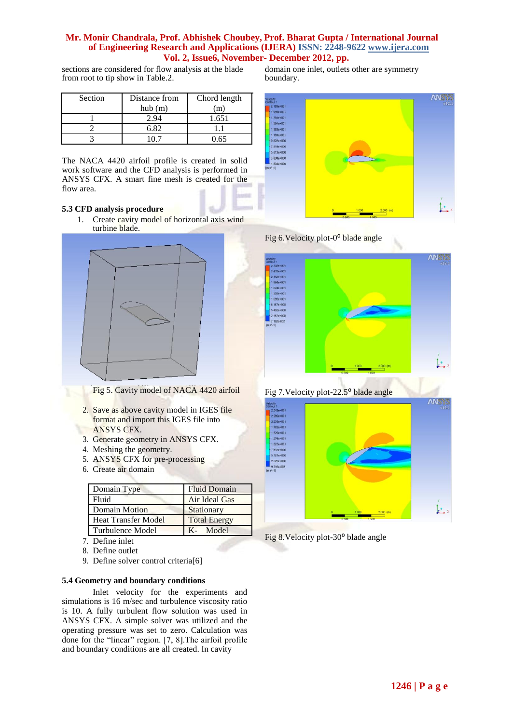sections are considered for flow analysis at the blade from root to tip show in Table.2.

| Section | Distance from | Chord length |
|---------|---------------|--------------|
|         | hub(m)        |              |
|         |               | 1.651        |
|         | 6 82          |              |
|         |               | 64           |

The NACA 4420 airfoil profile is created in solid work software and the CFD analysis is performed in ANSYS CFX. A smart fine mesh is created for the flow area.

#### **5.3 CFD analysis procedure**

1. Create cavity model of horizontal axis wind turbine blade.



Fig 5. Cavity model of NACA 4420 airfoil

- 2. Save as above cavity model in IGES file format and import this IGES file into ANSYS CFX.
- 3. Generate geometry in ANSYS CFX.
- 4. Meshing the geometry.
- 5. ANSYS CFX for pre-processing
- 6. Create air domain

| Domain Type                | <b>Fluid Domain</b> |  |
|----------------------------|---------------------|--|
| Fluid                      | Air Ideal Gas       |  |
| <b>Domain Motion</b>       | Stationary          |  |
| <b>Heat Transfer Model</b> | <b>Total Energy</b> |  |
| Turbulence Model           | K- Model            |  |

- 7. Define inlet
- 8. Define outlet
- 9. Define solver control criteria[6]

#### **5.4 Geometry and boundary conditions**

Inlet velocity for the experiments and simulations is 16 m/sec and turbulence viscosity ratio is 10. A fully turbulent flow solution was used in ANSYS CFX. A simple solver was utilized and the operating pressure was set to zero. Calculation was done for the "linear" region. [7, 8].The airfoil profile and boundary conditions are all created. In cavity

domain one inlet, outlets other are symmetry boundary.







Fig 7. Velocity plot-22.5<sup>°</sup> blade angle



Fig 8. Velocity plot-30<sup>°</sup> blade angle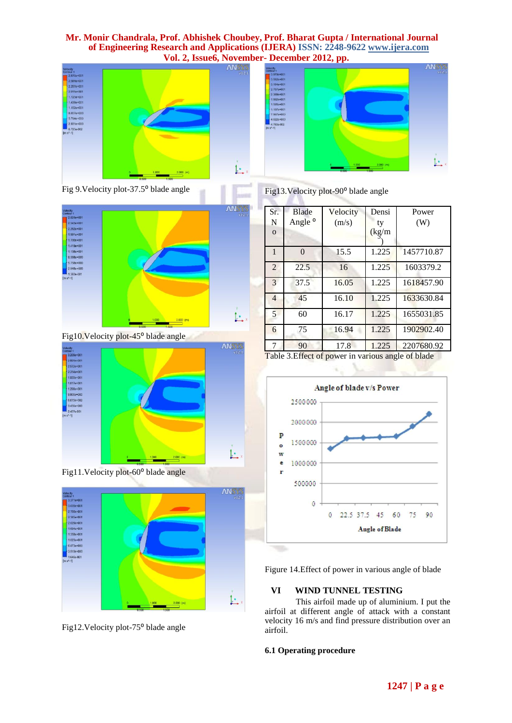



Fig 9. Velocity plot-37.5<sup>°</sup> blade angle



Fig10. Velocity plot-45<sup>°</sup> blade angle



Fig11.Velocity plot-60<sup>°</sup> blade angle



Fig12.Velocity plot-75<sup>°</sup> blade angle

Fig13. Velocity plot-90<sup>°</sup> blade angle

| Sr.            | <b>Blade</b>       | Velocity | Densi  | Power      |
|----------------|--------------------|----------|--------|------------|
| N              | Angle <sup>o</sup> | (m/s)    | ty     | (W)        |
| $\mathbf{O}$   |                    |          | (kg/m) |            |
|                |                    |          |        |            |
| $\mathbf{1}$   | $\Omega$           | 15.5     | 1.225  | 1457710.87 |
| $\overline{2}$ | 22.5               | 16       | 1.225  | 1603379.2  |
| 3              | 37.5               | 16.05    | 1.225  | 1618457.90 |
| $\overline{4}$ | 45                 | 16.10    | 1.225  | 1633630.84 |
| 5              | 60                 | 16.17    | 1.225  | 1655031.85 |
| 6              | 75                 | 16.94    | 1.225  | 1902902.40 |
| 7              | 90                 | 17.8     | 1.225  | 2207680.92 |

Table 3. Effect of power in various angle of blade



Figure 14.Effect of power in various angle of blade

# **VI WIND TUNNEL TESTING**

This airfoil made up of aluminium. I put the airfoil at different angle of attack with a constant velocity 16 m/s and find pressure distribution over an airfoil.

# **6.1 Operating procedure**